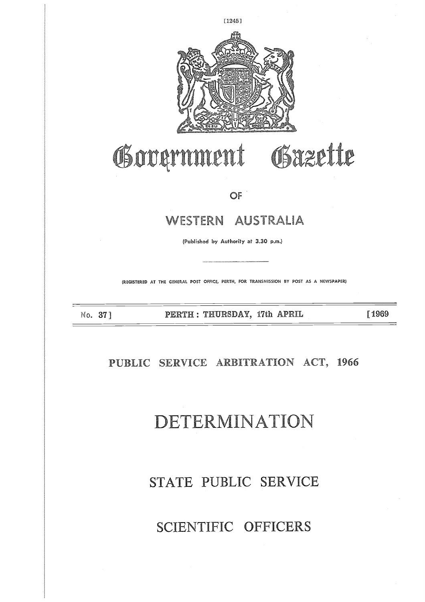# SCIENTIFIC OFFICERS

## STATE PUBLIC SERVICE

# **DETERMINATION**

**PUBLIC SERVICE ARBITRATION ACT, 1966**

No. 37 ] 

# WESTERN AUSTRALIA PERTH : THURSDAY, 17th PLPE73, [1969

OF

Government Gazette

(Published by Authority at 3.30 p.m.)

(REGISTERED AT THE GENERAL POST OFFICE, PERTH, FOR TRANSMISSION BY POST AS A NEWSPAPER)

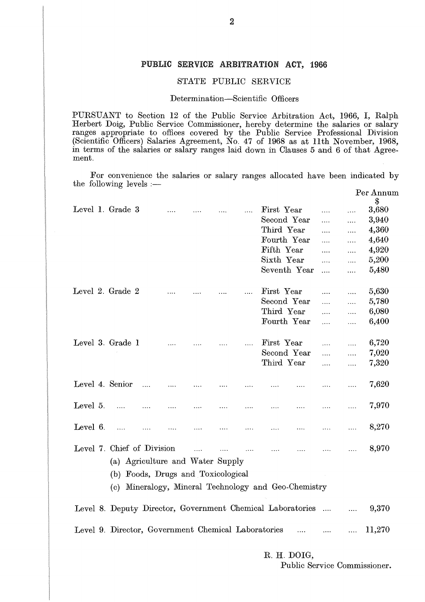### **PUBLIC SERVICE ARBITRATION ACT, 1966**

## STATE PUBLIC SERVICE

## Determination—Scientific Officers

|             |                                    |  |  |          | Determination-Scientific Officers                                                                                                                                                                                                                                                                                                                                                                                                       |          |          |                 |
|-------------|------------------------------------|--|--|----------|-----------------------------------------------------------------------------------------------------------------------------------------------------------------------------------------------------------------------------------------------------------------------------------------------------------------------------------------------------------------------------------------------------------------------------------------|----------|----------|-----------------|
| ment.       |                                    |  |  |          | PURSUANT to Section 12 of the Public Service Arbitration Act, 1966, I, Ralph<br>Herbert Doig, Public Service Commissioner, hereby determine the salaries or salary<br>ranges appropriate to offices covered by the Public Service Professional Division<br>(Scientific Officers) Salaries Agreement, No. 47 of 1968 as at 11th November, 1968,<br>in terms of the salaries or salary ranges laid down in Clauses 5 and 6 of that Agree- |          |          |                 |
|             | the following levels $:$ —         |  |  |          | For convenience the salaries or salary ranges allocated have been indicated by                                                                                                                                                                                                                                                                                                                                                          |          |          |                 |
|             |                                    |  |  |          |                                                                                                                                                                                                                                                                                                                                                                                                                                         |          |          | Per Annum<br>\$ |
|             | Level 1. Grade 3                   |  |  | $\cdots$ | First Year                                                                                                                                                                                                                                                                                                                                                                                                                              | $\cdots$ | .        | 3,680           |
|             |                                    |  |  |          | Second Year                                                                                                                                                                                                                                                                                                                                                                                                                             |          | .        | 3,940           |
|             |                                    |  |  |          | Third Year                                                                                                                                                                                                                                                                                                                                                                                                                              | .        | .        | 4,360           |
|             |                                    |  |  |          | Fourth Year                                                                                                                                                                                                                                                                                                                                                                                                                             | .        | .        | 4,640           |
|             |                                    |  |  |          | Fifth Year                                                                                                                                                                                                                                                                                                                                                                                                                              | .        | .        | 4,920           |
|             |                                    |  |  |          | Sixth Year                                                                                                                                                                                                                                                                                                                                                                                                                              | $\cdots$ | .        | 5,200           |
|             |                                    |  |  |          | Seventh Year                                                                                                                                                                                                                                                                                                                                                                                                                            | $\cdots$ | $\cdots$ | 5,480           |
|             |                                    |  |  |          |                                                                                                                                                                                                                                                                                                                                                                                                                                         |          |          |                 |
|             | Level 2. Grade 2                   |  |  |          | First Year                                                                                                                                                                                                                                                                                                                                                                                                                              |          |          | 5,630           |
|             |                                    |  |  |          | Second Year                                                                                                                                                                                                                                                                                                                                                                                                                             | .        | $\cdots$ | 5,780           |
|             |                                    |  |  |          | Third Year                                                                                                                                                                                                                                                                                                                                                                                                                              | $\ldots$ | .        | 6,080           |
|             |                                    |  |  |          | Fourth Year                                                                                                                                                                                                                                                                                                                                                                                                                             | .        | .        | 6,400           |
|             |                                    |  |  |          |                                                                                                                                                                                                                                                                                                                                                                                                                                         | $\cdots$ | .        |                 |
|             |                                    |  |  |          |                                                                                                                                                                                                                                                                                                                                                                                                                                         |          |          |                 |
|             | Level 3. Grade 1                   |  |  |          | First Year                                                                                                                                                                                                                                                                                                                                                                                                                              | .        | .        | 6,720           |
|             |                                    |  |  |          | Second Year                                                                                                                                                                                                                                                                                                                                                                                                                             | $\cdots$ | .        | 7,020           |
|             |                                    |  |  |          | Third Year                                                                                                                                                                                                                                                                                                                                                                                                                              | .        | .        | 7,320           |
|             | Level 4. Senior                    |  |  |          |                                                                                                                                                                                                                                                                                                                                                                                                                                         |          |          | 7,620           |
|             |                                    |  |  |          |                                                                                                                                                                                                                                                                                                                                                                                                                                         |          |          |                 |
| Level $5$ . |                                    |  |  |          |                                                                                                                                                                                                                                                                                                                                                                                                                                         |          |          | 7,970           |
|             |                                    |  |  |          |                                                                                                                                                                                                                                                                                                                                                                                                                                         |          |          |                 |
|             | Level 7. Chief of Division         |  |  |          | المستحدث المساري المساري المساري المساري المساري المساري                                                                                                                                                                                                                                                                                                                                                                                |          |          | 8,970           |
|             | (a) Agriculture and Water Supply   |  |  |          |                                                                                                                                                                                                                                                                                                                                                                                                                                         |          |          |                 |
|             | (b) Foods, Drugs and Toxicological |  |  |          |                                                                                                                                                                                                                                                                                                                                                                                                                                         |          |          |                 |
|             |                                    |  |  |          |                                                                                                                                                                                                                                                                                                                                                                                                                                         |          |          |                 |
|             |                                    |  |  |          | (c) Mineralogy, Mineral Technology and Geo-Chemistry                                                                                                                                                                                                                                                                                                                                                                                    |          |          |                 |
|             |                                    |  |  |          | Level 8. Deputy Director, Government Chemical Laboratories   9,370                                                                                                                                                                                                                                                                                                                                                                      |          |          |                 |
|             |                                    |  |  |          | Level 9. Director, Government Chemical Laboratories    11,270                                                                                                                                                                                                                                                                                                                                                                           |          |          |                 |
|             |                                    |  |  |          |                                                                                                                                                                                                                                                                                                                                                                                                                                         |          |          |                 |

**R. H. DOIG,**

Public Service Commissioner.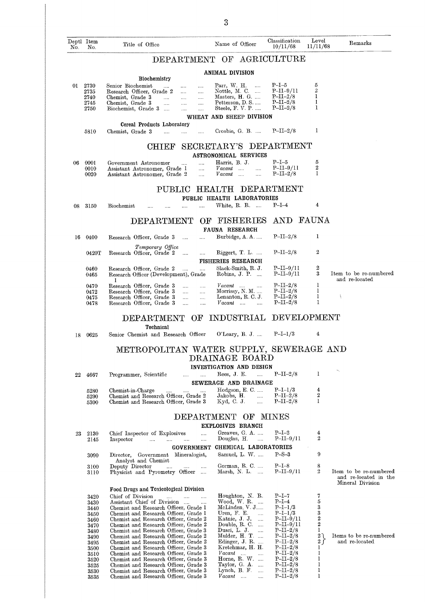|     |                         |                                                                                                                                              | 3                                                                                              |                                       |                               |                                                 |
|-----|-------------------------|----------------------------------------------------------------------------------------------------------------------------------------------|------------------------------------------------------------------------------------------------|---------------------------------------|-------------------------------|-------------------------------------------------|
| No. | Deptl Item<br>No.       | Title of Office                                                                                                                              | Name of Officer                                                                                | Classification<br>10/11/68            | Level<br>11/11/68             | Remarks                                         |
|     |                         | DEPARTMENT OF                                                                                                                                |                                                                                                | ${\rm AGRICULTURE}$                   |                               |                                                 |
|     |                         | <b>Biochemistry</b>                                                                                                                          | ANIMAL DIVISION                                                                                |                                       |                               |                                                 |
|     | 01 2730<br>2735<br>2740 | Senior Biochemist<br>$\cdots$<br>Research Officer, Grade 2<br>$\cdots$<br>$\cdots$<br>Chemist, Grade 3<br>$\cdots$<br>$\cdots$<br>$\ldots$ . | Pair, W. H.<br>$\cdots$<br>Nottle, M. C.<br>Masters, H. G.                                     | P–I–5<br>$P-II-9/11$<br>$P-II-2/8$    | 5<br>$\sqrt{2}$<br>$\bf{l}$   |                                                 |
|     | 2745<br>2750            | Chemist, Grade 3<br><br>$\cdots$<br>$\cdots$<br>Biochemist, Grade 3<br>$\cdots$<br><br>                                                      | Petterson, D. S.<br>Steele, F. V. P.                                                           | $P-II-2/8$<br>$P-II-2/8$              | $\bf{I}$<br>1                 |                                                 |
|     |                         | Cereal Products Laboratory                                                                                                                   | WHEAT AND SHEEP DIVISION                                                                       |                                       |                               |                                                 |
|     | 5810                    | Chemist, Grade 3<br>$\cdots$<br>$\ldots$ .<br>.                                                                                              | Crosbie, G. B.                                                                                 | $P-II-2/8$                            | -1                            |                                                 |
|     |                         | <b>CHIEF</b>                                                                                                                                 | SECRETARY'S<br><b>ASTRONOMICAL SERVICES</b>                                                    | DEPARTMENT                            |                               |                                                 |
| 06  | 0001<br>0010<br>0020    | Government Astronomer<br><br>Assistant Astronomer, Grade I<br>$\cdots$<br>Assistant Astronomer, Grade 2<br>$\cdots$                          | Harris, B. J.<br>$\emph{Vacant}$<br>$\cdots$<br>$\cdots$<br>Vacant<br>$\mathbf{r}$<br>$\cdots$ | $P-I-5$<br>$P-II-9/11$<br>$P-II-2/8$  | 5<br>2<br>1                   |                                                 |
|     |                         | PUBLIC                                                                                                                                       | <b>HEALTH</b>                                                                                  | DEPARTMENT                            |                               |                                                 |
| 08  | 3150                    | Biochemist<br>$\cdots$<br><br>.                                                                                                              | PUBLIC HEALTH LABORATORIES<br>White, R. R.                                                     | $P-I-4$                               | 4                             |                                                 |
|     |                         | DEPARTMENT<br>ОF                                                                                                                             | <b>FISHERIES</b><br><b>FAUNA RESEARCH</b>                                                      | AND                                   | <b>FAUNA</b>                  |                                                 |
| 16  | 0400                    | Research Officer, Grade 3<br>$\cdots$<br>                                                                                                    | Burbidge, A. A.                                                                                | $P-II-2/8$                            | 1                             |                                                 |
|     | 0420T                   | Temporary Office<br>Research Officer, Grade 2<br>$\cdots$<br>                                                                                | $\text{Riggert, T. L.}$                                                                        | $P-II-2/8$                            | 2                             |                                                 |
|     | 0460<br>0465            | Research Officer, Grade 2<br>$\cdots$<br>$\cdots$<br>Research Officer (Development), Grade                                                   | <b>FISHERIES RESEARCH</b><br>Slack-Smith, R. J.<br>Robins, J. P.                               | $P-II-9/11$<br>$P-II-9/11$            | $\boldsymbol{2}$<br>3         | Item to be re-numbered                          |
|     | 0470<br>0472            | T<br>Research Officer, Grade 3<br>$\ldots$ .<br>$\cdots$<br>Research Officer, Grade 3<br>$\ldots$<br>$\ldots$                                | $Vacant$<br>$\cdots$<br>Morrissy, N. M.                                                        | $P-II-2/8$<br>$P-II-2/8$              | 1<br>1                        | and re-located                                  |
|     | 0475<br>0478            | Research Officer, Grade 3<br>$\ldots$<br>$\ldots$<br>Research Officer, Grade 3<br>$\cdots$<br>$\cdots$                                       | Lenanton, R.C. J.<br>$Vacant$<br>$\cdots$                                                      | $P-II-2/8$<br>$P-II-2/8$              | 1<br>1                        |                                                 |
|     |                         | DEPARTMENT OF<br>Technical                                                                                                                   | <b>INDUSTRIAL</b>                                                                              | DEVELOPMENT                           |                               |                                                 |
| 18  | 0625                    | Senior Chemist and Research Officer                                                                                                          | O'Leary, B. J.                                                                                 | $P-I-I/3$                             | 4                             |                                                 |
|     |                         | METROPOLITAN WATER SUPPLY, SEWERAGE AND                                                                                                      | DRAINAGE BOARD                                                                                 |                                       |                               |                                                 |
|     |                         |                                                                                                                                              | INVESTIGATION AND DESIGN<br>Rees, J. E.                                                        | $P-II-2/8$                            | 1                             |                                                 |
| 22  | 4667                    | Programmer, Scientific<br><br>$\cdots$                                                                                                       | $\cdots$<br>SEWERAGE AND DRAINAGE                                                              |                                       |                               |                                                 |
|     | 5280<br>5290<br>5300    | Chemist-in-Charge<br>$\cdots$<br>Chemist and Research Officer, Grade 2<br>Chemist and Research Officer, Grade 3                              | Hodgson, E. C.<br>Jakobs, H.<br>$\ldots$<br>Kyd, C. J.<br>$\cdots$                             | $P-I-1/3$<br>$P-II-2/8$<br>$P-II-2/8$ | 4<br>2<br>1                   |                                                 |
|     |                         |                                                                                                                                              | DEPARTMENT OF<br>EXPLOSIVES BRANCH                                                             | MINES                                 |                               |                                                 |
| 23  | 2130                    | Chief Inspector of Explosives<br>                                                                                                            | Greaves, G. A.                                                                                 | $P-I-2$                               | 4                             |                                                 |
|     | 2145                    | Inspector<br>$\cdots$<br>$\sim$<br>$\cdots$<br>$\cdots$                                                                                      | Douglas, H.<br>$\sim$<br>GOVERNMENT CHEMICAL LABORATORIES                                      | $P-II-9/I1$                           | 2                             |                                                 |
|     | 3090                    | Director, Government Mineralogist,<br>Analyst and Chemist                                                                                    | Samuel, L. W.                                                                                  | $P-S-3$                               | 9                             |                                                 |
|     | 3100<br>3110            | Deputy Director<br><b>Service</b><br><b>Save Committee</b><br>$\cdots$<br>Physicist and Pyrometry Officer                                    | Gorman, $R$ . C.<br>Marsh, N. L. $\ldots$                                                      | $P-I-8$<br>$P-II-9/I1$                | 8<br>$\overline{2}$           | Item to be re-numbered<br>and re-located in the |
|     |                         | Food Drugs and Toxicological Division                                                                                                        |                                                                                                |                                       | 7                             | Mineral Division                                |
|     | 3420<br>3430            | Chief of Division<br>$\mathcal{L}_{\text{max}}$ .<br>$\cdots$<br>$\cdots$<br>Assistant Chief of Division<br>$\cdots$                         | Houghton, N. R.<br>Wood, W. R. $\ldots$                                                        | $P-I-7$<br>$P-I-4$                    | 5                             |                                                 |
|     | 3440<br>3450            | Chemist and Research Officer, Grade 1<br>Chemist and Research Officer, Grade 1                                                               | McLinden, V. J<br>Uren, $F.E.$<br>$\cdots$                                                     | $P-I-I/3$<br>$P-I-1/3$                | 3<br>3                        |                                                 |
|     | 3460                    | Chemist and Research Officer, Grade 2<br>Chemist and Research Officer, Grade 2                                                               | Katnic, J. J.<br>Double, R. C.                                                                 | $P-II-9/11$<br>$P-II-9/I1$            | 2<br>$\boldsymbol{2}$         |                                                 |
|     | 3470<br>3480            | Chemist and Research Officer, Grade 3                                                                                                        | Dusci, L. J.                                                                                   | $P-II-2/8$                            | 1                             |                                                 |
|     | 3490<br>3495            | Chemist and Research Officer, Grade 2<br>Chemist and Research Officer, Grade 2                                                               | Mulder, H. T.<br>Edinger, J. R.                                                                | $P-II-2/8$<br>$P-II-2/8$              | $2 \lambda$<br>2 <sub>1</sub> | Items to be re-numbered<br>and re-located       |
|     | 3500<br>3510            | Chemist and Research Officer, Grade 3<br>Chemist and Research Officer, Grade 3                                                               | Kretchmar, H. H.<br>$Vacant$                                                                   | $P-II-2/8$<br>$P-II-2/8$              | 1<br>1                        |                                                 |
|     | 3520                    | Chemist and Research Officer, Grade 3                                                                                                        | Horne, $R. W$                                                                                  | $P-II-2/8$                            | 1                             |                                                 |
|     | 3525<br>3530            | Chemist and Research Officer, Grade 3<br>Chemist and Research Officer, Grade 3                                                               | Taylor, G. $A.$<br>Lynch, B. F.                                                                | $P-II-2/8$<br>$P-II-2/8$              | 1<br>1                        |                                                 |
|     | 3535                    | Chemist and Research Officer, Grade 3                                                                                                        | Vacant<br>$\mathbf{r}_{\mathbf{r}}$                                                            | $P-II-2/8$                            | 1                             |                                                 |